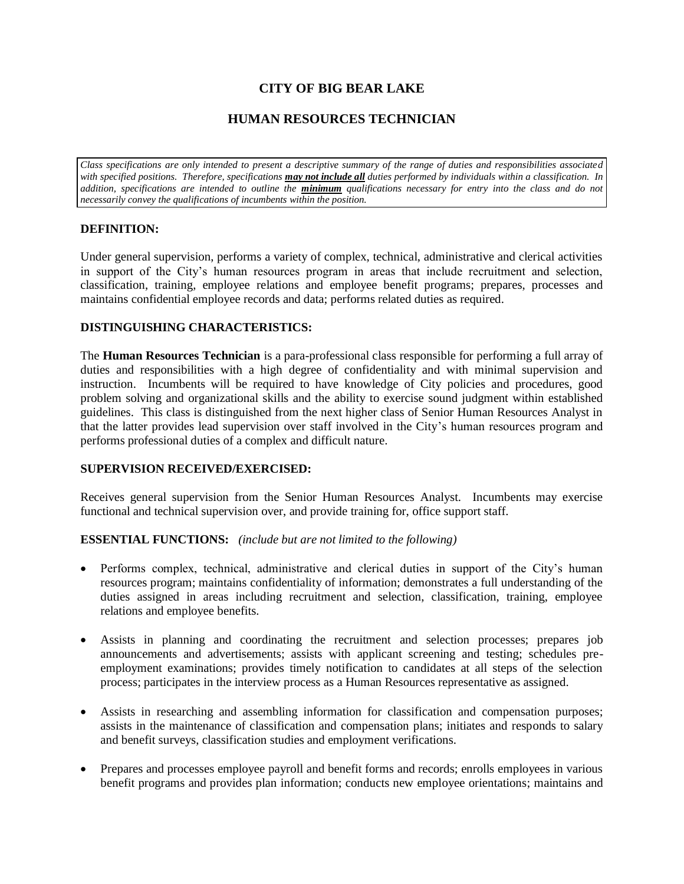# **CITY OF BIG BEAR LAKE**

# **HUMAN RESOURCES TECHNICIAN**

*Class specifications are only intended to present a descriptive summary of the range of duties and responsibilities associated with specified positions. Therefore, specifications may not include all duties performed by individuals within a classification. In addition, specifications are intended to outline the minimum qualifications necessary for entry into the class and do not necessarily convey the qualifications of incumbents within the position.*

#### **DEFINITION:**

Under general supervision, performs a variety of complex, technical, administrative and clerical activities in support of the City's human resources program in areas that include recruitment and selection, classification, training, employee relations and employee benefit programs; prepares, processes and maintains confidential employee records and data; performs related duties as required.

# **DISTINGUISHING CHARACTERISTICS:**

The **Human Resources Technician** is a para-professional class responsible for performing a full array of duties and responsibilities with a high degree of confidentiality and with minimal supervision and instruction. Incumbents will be required to have knowledge of City policies and procedures, good problem solving and organizational skills and the ability to exercise sound judgment within established guidelines. This class is distinguished from the next higher class of Senior Human Resources Analyst in that the latter provides lead supervision over staff involved in the City's human resources program and performs professional duties of a complex and difficult nature.

#### **SUPERVISION RECEIVED/EXERCISED:**

Receives general supervision from the Senior Human Resources Analyst. Incumbents may exercise functional and technical supervision over, and provide training for, office support staff.

#### **ESSENTIAL FUNCTIONS:** *(include but are not limited to the following)*

- Performs complex, technical, administrative and clerical duties in support of the City's human resources program; maintains confidentiality of information; demonstrates a full understanding of the duties assigned in areas including recruitment and selection, classification, training, employee relations and employee benefits.
- Assists in planning and coordinating the recruitment and selection processes; prepares job announcements and advertisements; assists with applicant screening and testing; schedules preemployment examinations; provides timely notification to candidates at all steps of the selection process; participates in the interview process as a Human Resources representative as assigned.
- Assists in researching and assembling information for classification and compensation purposes; assists in the maintenance of classification and compensation plans; initiates and responds to salary and benefit surveys, classification studies and employment verifications.
- Prepares and processes employee payroll and benefit forms and records; enrolls employees in various benefit programs and provides plan information; conducts new employee orientations; maintains and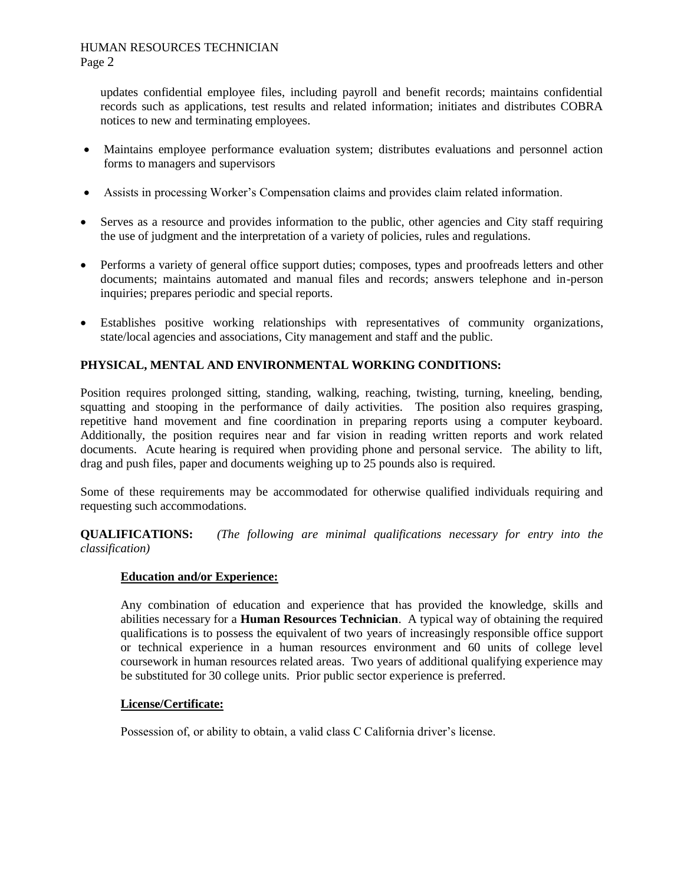# HUMAN RESOURCES TECHNICIAN

Page 2

updates confidential employee files, including payroll and benefit records; maintains confidential records such as applications, test results and related information; initiates and distributes COBRA notices to new and terminating employees.

- Maintains employee performance evaluation system; distributes evaluations and personnel action forms to managers and supervisors
- Assists in processing Worker's Compensation claims and provides claim related information.
- Serves as a resource and provides information to the public, other agencies and City staff requiring the use of judgment and the interpretation of a variety of policies, rules and regulations.
- Performs a variety of general office support duties; composes, types and proofreads letters and other documents; maintains automated and manual files and records; answers telephone and in-person inquiries; prepares periodic and special reports.
- Establishes positive working relationships with representatives of community organizations, state/local agencies and associations, City management and staff and the public.

# **PHYSICAL, MENTAL AND ENVIRONMENTAL WORKING CONDITIONS:**

Position requires prolonged sitting, standing, walking, reaching, twisting, turning, kneeling, bending, squatting and stooping in the performance of daily activities. The position also requires grasping, repetitive hand movement and fine coordination in preparing reports using a computer keyboard. Additionally, the position requires near and far vision in reading written reports and work related documents. Acute hearing is required when providing phone and personal service. The ability to lift, drag and push files, paper and documents weighing up to 25 pounds also is required.

Some of these requirements may be accommodated for otherwise qualified individuals requiring and requesting such accommodations.

**QUALIFICATIONS:** *(The following are minimal qualifications necessary for entry into the classification)*

# **Education and/or Experience:**

Any combination of education and experience that has provided the knowledge, skills and abilities necessary for a **Human Resources Technician**. A typical way of obtaining the required qualifications is to possess the equivalent of two years of increasingly responsible office support or technical experience in a human resources environment and 60 units of college level coursework in human resources related areas. Two years of additional qualifying experience may be substituted for 30 college units. Prior public sector experience is preferred.

# **License/Certificate:**

Possession of, or ability to obtain, a valid class C California driver's license.